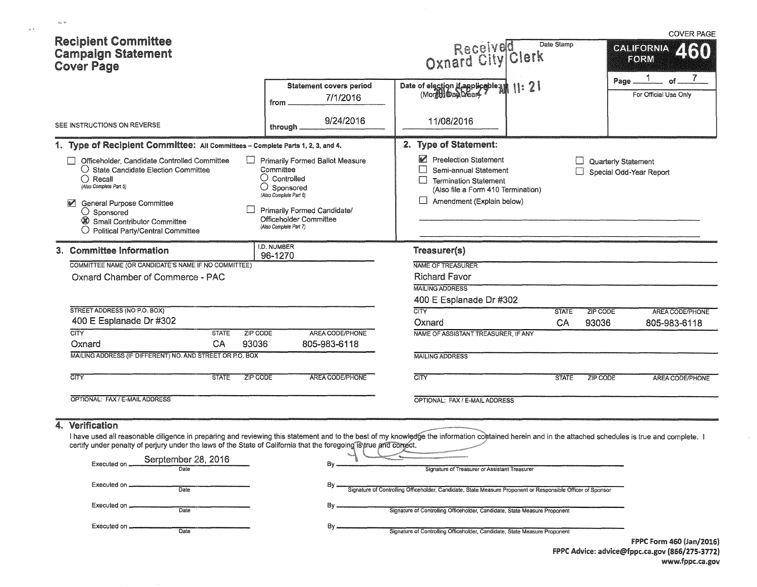| <b>Recipient Committee</b><br><b>Campaign Statement</b><br><b>Cover Page</b>                                                                                                                                                                                                                                                                                                                                                                                                                             |                                                                                                                                                                                                                   | Received P<br>Oxnard City Clerk                                                                                                                                                                                                                                                                                        | <b>COVER PAGE</b><br>Date Stamp<br><b>CALIFORNIA</b><br>ZINI)<br>FORM |
|----------------------------------------------------------------------------------------------------------------------------------------------------------------------------------------------------------------------------------------------------------------------------------------------------------------------------------------------------------------------------------------------------------------------------------------------------------------------------------------------------------|-------------------------------------------------------------------------------------------------------------------------------------------------------------------------------------------------------------------|------------------------------------------------------------------------------------------------------------------------------------------------------------------------------------------------------------------------------------------------------------------------------------------------------------------------|-----------------------------------------------------------------------|
|                                                                                                                                                                                                                                                                                                                                                                                                                                                                                                          | Statement covers period<br>7/1/2016<br>from                                                                                                                                                                       | Date of election if applicable and 11: 2                                                                                                                                                                                                                                                                               | Page<br>For Official Use Only                                         |
| SEE INSTRUCTIONS ON REVERSE                                                                                                                                                                                                                                                                                                                                                                                                                                                                              | 9/24/2016<br>through                                                                                                                                                                                              | 11/08/2016                                                                                                                                                                                                                                                                                                             |                                                                       |
| 1. Type of Recipient Committee: All Committees - Complete Parts 1, 2, 3, and 4.                                                                                                                                                                                                                                                                                                                                                                                                                          |                                                                                                                                                                                                                   | 2. Type of Statement:                                                                                                                                                                                                                                                                                                  |                                                                       |
| Officeholder, Candidate Controlled Committee<br>$\bigcirc$ State Candidate Election Committee<br>$\bigcirc$ Recall<br>(Also Complete Part 5)<br><b>General Purpose Committee</b><br>$\bigcirc$ Sponsored<br>Small Contributor Committee<br>O Political Party/Central Committee                                                                                                                                                                                                                           | <b>Primarily Formed Ballot Measure</b><br>Committee<br>$\bigcirc$ Controlled<br>$\bigcirc$ Sponsored<br>(Also Complete Part 6)<br>Primarily Formed Candidate/<br>Officeholder Committee<br>(Also Complete Part 7) | Preelection Statement<br>$\Box$<br>Semi-annual Statement<br><b>Termination Statement</b><br>(Also file a Form 410 Termination)<br>Amendment (Explain below)                                                                                                                                                            | Quarterly Statement<br>Special Odd-Year Report                        |
| 3. Committee Information                                                                                                                                                                                                                                                                                                                                                                                                                                                                                 | I.D. NUMBER<br>96-1270                                                                                                                                                                                            | Treasurer(s)                                                                                                                                                                                                                                                                                                           |                                                                       |
| COMMITTEE NAME (OR CANDIDATE'S NAME IF NO COMMITTEE)                                                                                                                                                                                                                                                                                                                                                                                                                                                     |                                                                                                                                                                                                                   | NAME OF TREASURER                                                                                                                                                                                                                                                                                                      |                                                                       |
| <b>Oxnard Chamber of Commerce - PAC</b>                                                                                                                                                                                                                                                                                                                                                                                                                                                                  |                                                                                                                                                                                                                   | <b>Richard Favor</b>                                                                                                                                                                                                                                                                                                   |                                                                       |
|                                                                                                                                                                                                                                                                                                                                                                                                                                                                                                          |                                                                                                                                                                                                                   | <b>MAILING ADDRESS</b>                                                                                                                                                                                                                                                                                                 |                                                                       |
|                                                                                                                                                                                                                                                                                                                                                                                                                                                                                                          |                                                                                                                                                                                                                   | 400 E Esplanade Dr #302                                                                                                                                                                                                                                                                                                |                                                                       |
| STREET ADDRESS (NO P.O. BOX)<br>400 E Esplanade Dr #302                                                                                                                                                                                                                                                                                                                                                                                                                                                  |                                                                                                                                                                                                                   | <b>CITY</b>                                                                                                                                                                                                                                                                                                            | <b>STATE</b><br><b>ZIP CODE</b><br><b>AREA CODE/PHONE</b>             |
| <b>CITY</b><br><b>STATE</b>                                                                                                                                                                                                                                                                                                                                                                                                                                                                              | <b>ZIP CODE</b><br>AREA CODE/PHONE                                                                                                                                                                                | Oxnard<br>NAME OF ASSISTANT TREASURER, IF ANY                                                                                                                                                                                                                                                                          | CA<br>93036<br>805-983-6118                                           |
| CA<br>Oxnard                                                                                                                                                                                                                                                                                                                                                                                                                                                                                             | 93036<br>805-983-6118                                                                                                                                                                                             |                                                                                                                                                                                                                                                                                                                        |                                                                       |
| MAILING ADDRESS (IF DIFFERENT) NO. AND STREET OR P.O. BOX                                                                                                                                                                                                                                                                                                                                                                                                                                                |                                                                                                                                                                                                                   | <b>MAILING ADDRESS</b>                                                                                                                                                                                                                                                                                                 |                                                                       |
|                                                                                                                                                                                                                                                                                                                                                                                                                                                                                                          |                                                                                                                                                                                                                   |                                                                                                                                                                                                                                                                                                                        |                                                                       |
| CITY<br><b>STATE</b>                                                                                                                                                                                                                                                                                                                                                                                                                                                                                     | <b>AREA CODE/PHONE</b><br><b>ZIP CODE</b>                                                                                                                                                                         | CITY                                                                                                                                                                                                                                                                                                                   | <b>STATE</b><br><b>ZIP CODE</b><br><b>AREA CODE/PHONE</b>             |
| OPTIONAL: FAX / E-MAIL ADDRESS                                                                                                                                                                                                                                                                                                                                                                                                                                                                           |                                                                                                                                                                                                                   | OPTIONAL: FAX / E-MAIL ADDRESS                                                                                                                                                                                                                                                                                         |                                                                       |
| Verification<br>4.<br>I have used all reasonable diligence in preparing and reviewing this statement and to the best of my knowledge the information contained herein and in the attached schedules is true and complete. I<br>certify under penalty of perjury under the laws of the State of California that the foregoing is true and consect.<br>Serptember 28, 2016<br>Executed on.<br>Date<br>Executed on __<br><b>Date</b><br>Executed on __________<br>Date<br>Executed on ______<br><b>Date</b> | By.<br>By.<br>Вγ…<br>By.                                                                                                                                                                                          | Signature of Treasurer or Assistant Treasurer<br>Signature of Controlling Officeholder, Candidate, State Measure Proponent or Responsible Officer of Sponsor<br>Signature of Controlling Officeholder, Candidate, State Measure Proponent<br>Signature of Controlling Officeholder, Candidate, State Measure Proponent |                                                                       |
|                                                                                                                                                                                                                                                                                                                                                                                                                                                                                                          |                                                                                                                                                                                                                   |                                                                                                                                                                                                                                                                                                                        | $EDDC$ Engra $ACO$ ( $In/2O1C$ )                                      |

 $_{\rm S550}$  at

 $\sim$   $\sim$ 

f PPC form 460 (Jan/2016) FPPC Advice: advice@fppc.ca.gov (866/275-3772) www.fppc.ca.gov  $\bar{z}$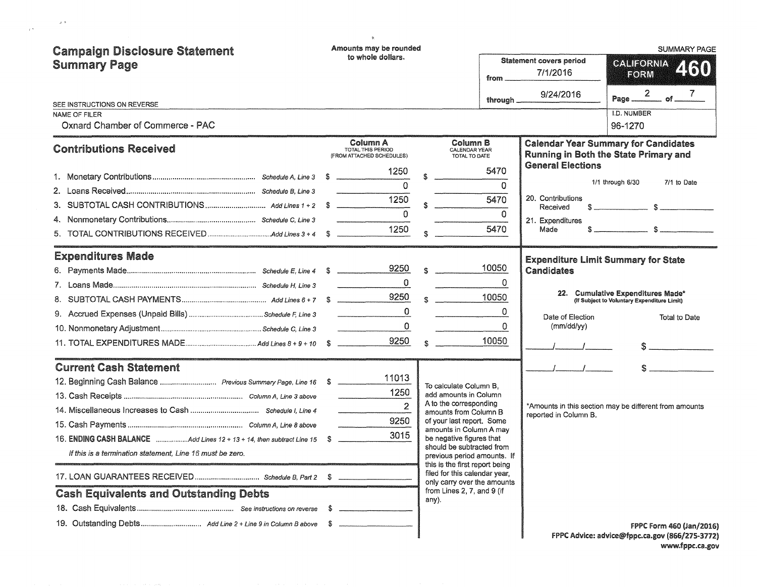| <b>Campaign Disclosure Statement</b><br><b>Summary Page</b><br>SEE INSTRUCTIONS ON REVERSE<br>NAME OF FILER<br><b>Oxnard Chamber of Commerce - PAC</b>                                                                                                                                |      | Amounts may be rounded<br>to whole dollars.                                                   |                                                                                                                                                                                                                                                                                                                                                                                             | from __<br>through $\_\_$                     | <b>Statement covers period</b><br>7/1/2016<br>9/24/2016                       | <b>SUMMARY PAGE</b><br>CALIFORNIA<br>250<br>FORM<br>Page $\frac{2}{\sqrt{1-\frac{1}{2}}}$ of $\frac{7}{\sqrt{1-\frac{1}{2}}}$<br><b>I.D. NUMBER</b><br>96-1270 |
|---------------------------------------------------------------------------------------------------------------------------------------------------------------------------------------------------------------------------------------------------------------------------------------|------|-----------------------------------------------------------------------------------------------|---------------------------------------------------------------------------------------------------------------------------------------------------------------------------------------------------------------------------------------------------------------------------------------------------------------------------------------------------------------------------------------------|-----------------------------------------------|-------------------------------------------------------------------------------|----------------------------------------------------------------------------------------------------------------------------------------------------------------|
| <b>Contributions Received</b><br>2.                                                                                                                                                                                                                                                   |      | Column A<br><b>TOTAL THIS PERIOD</b><br>(FROM ATTACHED SCHEDULES)<br>1250<br>$\Omega$<br>1250 | \$<br>Column B<br>CALENDAR YEAR<br>TOTAL TO DATE                                                                                                                                                                                                                                                                                                                                            | 5470<br>$\Omega$<br>5470<br>$\Omega$          | <b>General Elections</b><br>20. Contributions<br>Received<br>21. Expenditures | <b>Calendar Year Summary for Candidates</b><br>Running in Both the State Primary and<br>1/1 through 6/30<br>7/1 to Date                                        |
| <b>Expenditures Made</b>                                                                                                                                                                                                                                                              |      | 1250                                                                                          | \$                                                                                                                                                                                                                                                                                                                                                                                          | 5470                                          | Made<br><b>Expenditure Limit Summary for State</b>                            | $s \sim$ $s \sim$                                                                                                                                              |
|                                                                                                                                                                                                                                                                                       |      | 9250<br>$\mathbf 0$<br>9250<br>$\mathbf 0$<br>0<br>9250                                       | $S^2$ and $S^2$<br>$S = 1$                                                                                                                                                                                                                                                                                                                                                                  | 10050<br>0<br>10050<br>$\Omega$<br>0<br>10050 | Candidates<br>Date of Election<br>(mm/dd/yy)                                  | 22. Cumulative Expenditures Made*<br>(If Subject to Voluntary Expenditure Limit)<br>Total to Date<br>s                                                         |
| <b>Current Cash Statement</b><br>12. Beginning Cash Balance  Previous Summary Page, Line 16 \$<br>16. ENDING CASH BALANCE Add Lines 12 + 13 + 14, then subtract Line 15<br>If this is a termination statement, Line 16 must be zero.<br><b>Cash Equivalents and Outstanding Debts</b> | - \$ | 11013<br>1250<br>$\overline{2}$<br>9250<br>3015                                               | To calculate Column B.<br>add amounts in Column<br>A to the corresponding<br>amounts from Column B<br>of your last report. Some<br>amounts in Column A may<br>be negative figures that<br>should be subtracted from<br>previous period amounts. If<br>this is the first report being<br>filed for this calendar year,<br>only carry over the amounts<br>from Lines 2, 7, and 9 (if<br>any). |                                               | reported in Column B.                                                         | *Amounts in this section may be different from amounts                                                                                                         |
|                                                                                                                                                                                                                                                                                       |      |                                                                                               |                                                                                                                                                                                                                                                                                                                                                                                             |                                               |                                                                               | FPPC Form 460 (Jan/2016)<br>FPPC Advice: advice@fppc.ca.gov (866/275-3772)                                                                                     |

 $\label{eq:2.1} \mathcal{Q}^{(\frac{1}{2})}$   $\mathcal{Q}^{(\frac{1}{2})}$ 

FPPC Advice: advice@fppc.ca.gov (866/275-3772) www.fppc.ca.gov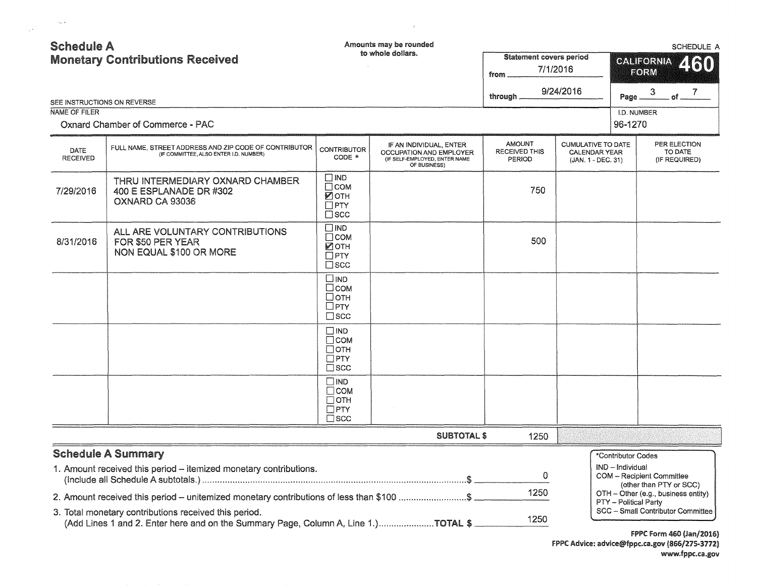| <b>Schedule A</b>                            |                                                                                                                                             |                                                                                    | Amounts may be rounded                                                                              |                                                        |                                                                         |                    |                                                             | <b>SCHEDULE A</b>  |
|----------------------------------------------|---------------------------------------------------------------------------------------------------------------------------------------------|------------------------------------------------------------------------------------|-----------------------------------------------------------------------------------------------------|--------------------------------------------------------|-------------------------------------------------------------------------|--------------------|-------------------------------------------------------------|--------------------|
| <b>Monetary Contributions Received</b>       |                                                                                                                                             |                                                                                    | to whole dollars.                                                                                   | <b>Statement covers period</b><br>7/1/2016<br>from     | 460<br><b>CALIFORNIA</b><br>FORM                                        |                    |                                                             |                    |
|                                              |                                                                                                                                             |                                                                                    |                                                                                                     | through.                                               | 9/24/2016                                                               | Page _             | $\mathbf{3}$                                                | . of $\frac{7}{2}$ |
| SEE INSTRUCTIONS ON REVERSE<br>NAME OF FILER |                                                                                                                                             |                                                                                    |                                                                                                     |                                                        |                                                                         | I.D. NUMBER        |                                                             |                    |
|                                              | Oxnard Chamber of Commerce - PAC                                                                                                            |                                                                                    |                                                                                                     |                                                        |                                                                         | 96-1270            |                                                             |                    |
| DATE<br><b>RECEIVED</b>                      | FULL NAME, STREET ADDRESS AND ZIP CODE OF CONTRIBUTOR<br>(IF COMMITTEE, ALSO ENTER I.D. NUMBER)                                             | <b>CONTRIBUTOR</b><br>CODE *                                                       | IF AN INDIVIDUAL, ENTER<br>OCCUPATION AND EMPLOYER<br>(IF SELF-EMPLOYED, ENTER NAME<br>OF BUSINESS) | <b>AMOUNT</b><br><b>RECEIVED THIS</b><br><b>PERIOD</b> | <b>CUMULATIVE TO DATE</b><br><b>CALENDAR YEAR</b><br>(JAN. 1 - DEC. 31) |                    | PER ELECTION<br>TO DATE<br>(IF REQUIRED)                    |                    |
| 7/29/2016                                    | THRU INTERMEDIARY OXNARD CHAMBER<br>400 E ESPLANADE DR #302<br>OXNARD CA 93036                                                              | $\square$ IND<br>Псом<br>Иотн<br>$\Box$ PTY<br>$\square$ scc                       |                                                                                                     | 750                                                    |                                                                         |                    |                                                             |                    |
| 8/31/2016                                    | ALL ARE VOLUNTARY CONTRIBUTIONS<br>FOR \$50 PER YEAR<br>NON EQUAL \$100 OR MORE                                                             | $\square$ IND<br>$\square$ COM<br>$\sqrt{2}$ OTH<br>$\square$ PTY<br>$\square$ scc |                                                                                                     | 500                                                    |                                                                         |                    |                                                             |                    |
|                                              |                                                                                                                                             | $\square$ IND<br>$\square$ COM<br>$\Box$ OTH<br>$\Box$ PTY<br>$\Box$ scc           |                                                                                                     |                                                        |                                                                         |                    |                                                             |                    |
|                                              |                                                                                                                                             | $\square$ IND<br>$\Box$ COM<br>$\Box$ OTH<br>$\Box$ PTY<br>$\square$ SCC           |                                                                                                     |                                                        |                                                                         |                    |                                                             |                    |
|                                              |                                                                                                                                             | $\square$ IND<br>$\Box$ COM<br>$\Box$ OTH<br>$\square$ PTY<br>$\square$ scc        |                                                                                                     |                                                        |                                                                         |                    |                                                             |                    |
|                                              |                                                                                                                                             |                                                                                    | <b>SUBTOTAL \$</b>                                                                                  | 1250                                                   |                                                                         |                    |                                                             |                    |
|                                              | <b>Schedule A Summary</b>                                                                                                                   |                                                                                    |                                                                                                     |                                                        |                                                                         | *Contributor Codes |                                                             |                    |
|                                              | 1. Amount received this period - itemized monetary contributions.                                                                           |                                                                                    |                                                                                                     | 0                                                      |                                                                         | IND - Individual   | <b>COM</b> - Recipient Committee<br>(other than PTY or SCC) |                    |
|                                              | 2. Amount received this period - unitemized monetary contributions of less than \$100 \$                                                    |                                                                                    |                                                                                                     | 1250                                                   |                                                                         |                    | OTH - Other (e.g., business entity)                         |                    |
|                                              | 3. Total monetary contributions received this period.<br>(Add Lines 1 and 2. Enter here and on the Summary Page, Column A, Line 1.)TOTAL \$ |                                                                                    |                                                                                                     | 1250                                                   | PTY - Political Party<br>SCC - Small Contributor Committee              |                    |                                                             |                    |

 $\label{eq:2.1} \mathcal{B} = \mathcal{B} \left( \mathcal{B} \right) \left( \mathcal{B} \right) \left( \mathcal{B} \right)$ 

 $\label{eq:1} \sup_{\mathbf{y}\in\mathcal{Y}}\|\mathbf{y}\|_1$   $\mathbf{y}\in\mathcal{Y}$ 

FPPC Form 460 (Jan/2016) FPPC Advice: advice@fppc.ca.gov (866/275-3712) www.fppc.ca.gov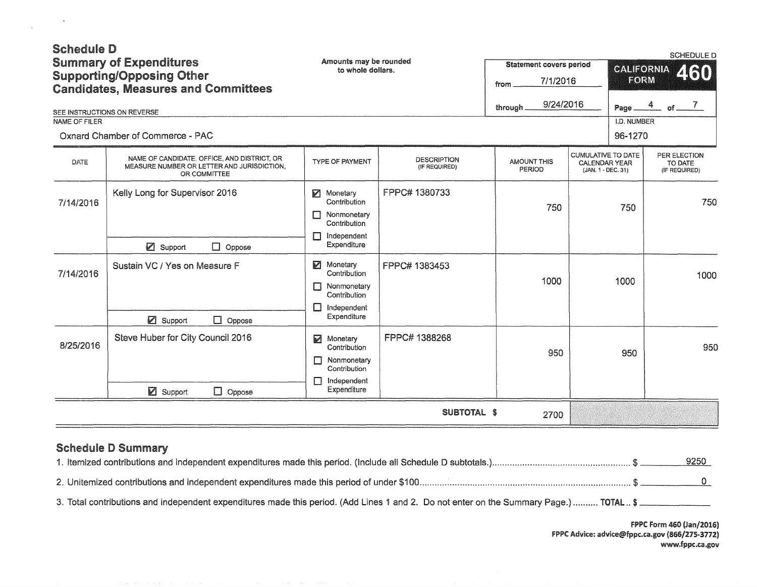| <b>Schedule D</b><br>SEE INSTRUCTIONS ON REVERSE<br>NAME OF FILER | <b>Summary of Expenditures</b><br><b>Supporting/Opposing Other</b><br><b>Candidates, Measures and Committees</b><br>Oxnard Chamber of Commerce - PAC | Amounts may be rounded<br>to whole dollars.                                                                            |                                     | <b>Statement covers period</b><br>7/1/2016<br>from<br>9/24/2016<br>through. |                                                                         | SCHEDULE D<br>CALIFORNIA<br>460<br>FORM<br>$\frac{4}{ }$ of $\frac{7}{ }$<br>Page.<br>I.D. NUMBER<br>96-1270 |                                          |  |
|-------------------------------------------------------------------|------------------------------------------------------------------------------------------------------------------------------------------------------|------------------------------------------------------------------------------------------------------------------------|-------------------------------------|-----------------------------------------------------------------------------|-------------------------------------------------------------------------|--------------------------------------------------------------------------------------------------------------|------------------------------------------|--|
| DATE                                                              | NAME OF CANDIDATE, OFFICE, AND DISTRICT, OR<br>MEASURE NUMBER OR LETTER AND JURISDICTION.<br>OR COMMITTEE                                            | <b>TYPE OF PAYMENT</b>                                                                                                 | <b>DESCRIPTION</b><br>(IF REQUIRED) | <b>AMOUNT THIS</b><br>PERIOD                                                | <b>CUMULATIVE TO DATE</b><br><b>CALENDAR YEAR</b><br>(JAN. 1 - DEC. 31) |                                                                                                              | PER ELECTION<br>TO DATE<br>(IF REQUIRED) |  |
| 7/14/2016                                                         | Kelly Long for Supervisor 2016<br>■ Support<br>$\Box$ Oppose                                                                                         | Monetary<br>Contribution<br>П<br>Nonmonetary<br>Contribution<br>Independent<br>П<br>Expenditure                        | FPPC# 1380733                       | 750                                                                         |                                                                         | 750                                                                                                          | 750                                      |  |
| 7/14/2016                                                         | Sustain VC / Yes on Measure F<br>Support<br>$\Box$ Oppose                                                                                            | Monetary<br>Contribution <sup>®</sup><br>Nonmonetary<br>$\Box$<br>Contribution<br>$\Box$<br>Independent<br>Expenditure | FPPC# 1383453                       | 1000                                                                        |                                                                         | 1000                                                                                                         | 1000                                     |  |
| 8/25/2016                                                         | Steve Huber for City Council 2016<br>■ Support<br>$\Box$ Oppose                                                                                      | $\triangleright$<br>Monetary<br>Contribution<br>Nonmonetary<br>Contribution<br>Independent<br>Expenditure              | FPPC# 1388268                       | 950                                                                         |                                                                         | 950                                                                                                          | 950                                      |  |
|                                                                   |                                                                                                                                                      |                                                                                                                        | <b>SUBTOTAL \$</b>                  | 2700                                                                        |                                                                         |                                                                                                              |                                          |  |

## Schedule D Summary

 $\langle \hat{n} \rangle$ 

 $\sim 10^{-1}$ 

|  | <u>9250</u> |
|--|-------------|
|  |             |

3. Total contributions and independent expenditures made this period. (Add Lines 1 and 2. Do not enter on the Summary Page.) .......... TOTAL .. \$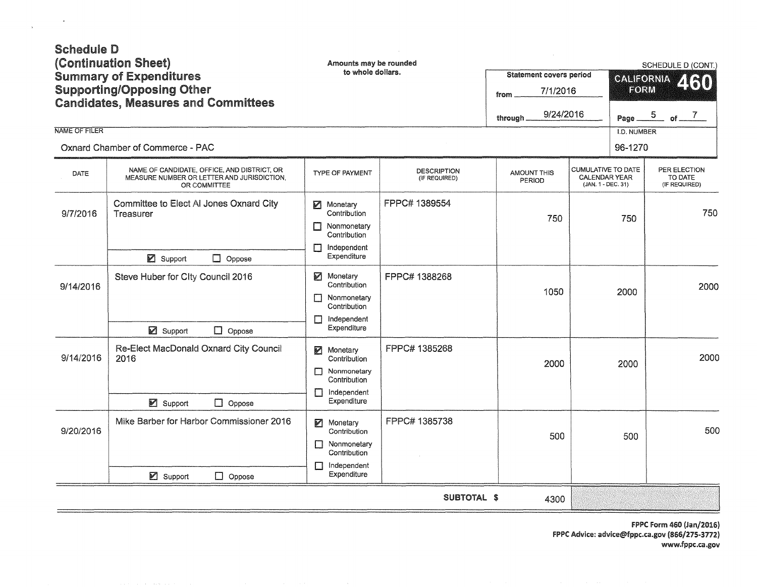| <b>Schedule D</b><br><b>NAME OF FILER</b> | (Continuation Sheet)<br><b>Summary of Expenditures</b><br><b>Supporting/Opposing Other</b><br><b>Candidates, Measures and Committees</b><br>Oxnard Chamber of Commerce - PAC | Amounts may be rounded<br>to whole dollars.                                                               |                                     | <b>Statement covers period</b><br>7/1/2016<br>from<br>9/24/2016<br>through. |                                                                         | SCHEDULE D (CONT.)<br><b>CALIFORNIA</b><br>2130<br>FORM<br>$\frac{5}{2}$ of $\frac{7}{2}$<br>Page.<br>I.D. NUMBER<br>96-1270 |                                          |
|-------------------------------------------|------------------------------------------------------------------------------------------------------------------------------------------------------------------------------|-----------------------------------------------------------------------------------------------------------|-------------------------------------|-----------------------------------------------------------------------------|-------------------------------------------------------------------------|------------------------------------------------------------------------------------------------------------------------------|------------------------------------------|
| DATE                                      | NAME OF CANDIDATE, OFFICE, AND DISTRICT, OR<br>MEASURE NUMBER OR LETTER AND JURISDICTION,<br>OR COMMITTEE                                                                    | <b>TYPE OF PAYMENT</b>                                                                                    | <b>DESCRIPTION</b><br>(IF REQUIRED) | <b>AMOUNT THIS</b><br>PERIOD                                                | <b>CUMULATIVE TO DATE</b><br><b>CALENDAR YEAR</b><br>(JAN. 1 - DEC. 31) |                                                                                                                              | PER ELECTION<br>TO DATE<br>(IF REQUIRED) |
| 9/7/2016                                  | Committee to Elect Al Jones Oxnard City<br>Treasurer<br>■ Support<br>$\Box$ Oppose                                                                                           | И<br>Monetary<br>Contribution<br>Nonmonetary<br>П<br>Contribution<br>Independent<br>П<br>Expenditure      | FPPC# 1389554                       | 750                                                                         | 750                                                                     |                                                                                                                              | 750                                      |
| 9/14/2016                                 | Steve Huber for City Council 2016<br>■ Support<br>$\Box$ Oppose                                                                                                              | И<br>Monetary<br>Contribution<br>Nonmonetary<br>П<br>Contribution<br>Independent<br>П<br>Expenditure      | FPPC# 1388268                       | 1050                                                                        |                                                                         | 2000                                                                                                                         | 2000                                     |
| 9/14/2016                                 | Re-Elect MacDonald Oxnard City Council<br>2016<br>■ Support<br>$\Box$ Oppose                                                                                                 | M<br>Monetary<br>Contribution<br>Nonmonetary<br>П<br>Contribution<br>Independent<br>П<br>Expenditure      | FPPC# 1385268                       | 2000                                                                        |                                                                         | 2000                                                                                                                         | 2000                                     |
| 9/20/2016                                 | Mike Barber for Harbor Commissioner 2016<br>$\boxtimes$ Support<br>$\Box$ Oppose                                                                                             | И<br>Monetary<br>Contribution<br>$\Box$<br>Nonmonetary<br>Contribution<br>Independent<br>П<br>Expenditure | FPPC# 1385738                       | 500                                                                         |                                                                         | 500                                                                                                                          | 500                                      |
|                                           |                                                                                                                                                                              |                                                                                                           | SUBTOTAL \$                         | 4300                                                                        |                                                                         |                                                                                                                              |                                          |

 $\label{eq:3.1} \Psi$   $\label{3.1.2} \Psi$ 

FPPC Form 460 (Jan/2016) FPPC Advice: advice@fppc.ca.gov (866/275-3772) www.fppc.ca .gov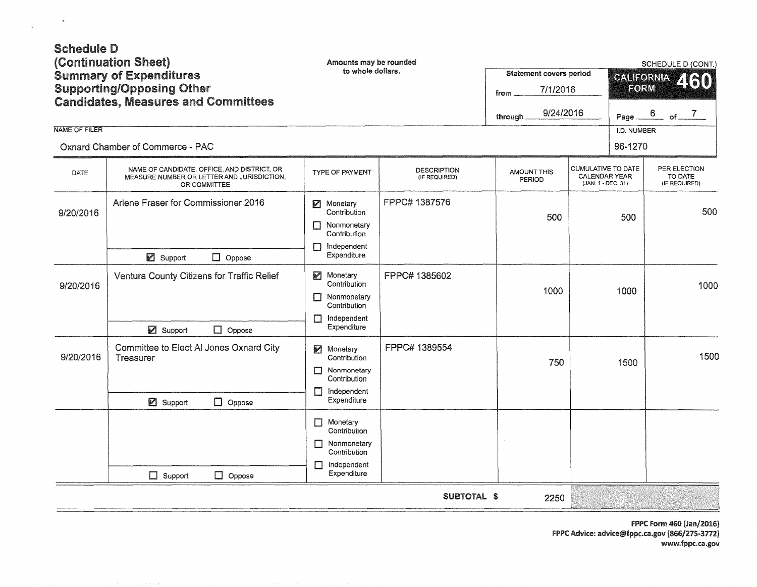| <b>Schedule D</b><br>(Continuation Sheet)<br><b>Summary of Expenditures</b><br><b>Supporting/Opposing Other</b><br><b>Candidates, Measures and Committees</b><br><b>NAME OF FILER</b><br>Oxnard Chamber of Commerce - PAC |                                                                                                           | Amounts may be rounded<br>to whole dollars.                                                                         |                                     | Statement covers period<br>7/1/2016<br>from<br>9/24/2016<br>through. |                                                                  | <b>SCHEDULE D (CONT.)</b><br><b>CALIFORNIA</b><br>460<br>FORM<br>$6$ of $7$<br>Page<br>I.D. NUMBER<br>96-1270 |                                          |  |     |
|---------------------------------------------------------------------------------------------------------------------------------------------------------------------------------------------------------------------------|-----------------------------------------------------------------------------------------------------------|---------------------------------------------------------------------------------------------------------------------|-------------------------------------|----------------------------------------------------------------------|------------------------------------------------------------------|---------------------------------------------------------------------------------------------------------------|------------------------------------------|--|-----|
| <b>DATE</b>                                                                                                                                                                                                               | NAME OF CANDIDATE, OFFICE, AND DISTRICT, OR<br>MEASURE NUMBER OR LETTER AND JURISDICTION,<br>OR COMMITTEE | TYPE OF PAYMENT                                                                                                     | <b>DESCRIPTION</b><br>(IF REQUIRED) | <b>AMOUNT THIS</b><br>PERIOD                                         | CUMULATIVE TO DATE<br><b>CALENDAR YEAR</b><br>(JAN. 1 - DEC. 31) |                                                                                                               | PER ELECTION<br>TO DATE<br>(IF REQUIRED) |  |     |
| 9/20/2016                                                                                                                                                                                                                 | Arlene Fraser for Commissioner 2016<br>$\boxtimes$ Support<br>$\Box$ Oppose                               | Monetary<br>Contribution<br>Nonmonetary<br>П<br>Contribution<br>Independent<br>П<br>Expenditure                     | FPPC# 1387576                       | 500                                                                  | 500<br>1000                                                      |                                                                                                               |                                          |  | 500 |
| 9/20/2016                                                                                                                                                                                                                 | Ventura County Citizens for Traffic Relief<br>Support<br>$\Box$ Oppose                                    | И<br>Monetary<br>Contribution<br>Nonmonetary<br>П<br>Contribution<br>Independent<br>П<br>Expenditure                | FPPC# 1385602                       | 1000                                                                 |                                                                  |                                                                                                               | 1000                                     |  |     |
| 9/20/2016                                                                                                                                                                                                                 | Committee to Elect Al Jones Oxnard City<br>Treasurer<br>■ Support<br>$\Box$ Oppose                        | Monetary<br>$\triangleright$<br>Contribution<br>Nonmonetary<br>П<br>Contribution<br>Independent<br>П<br>Expenditure | FPPC# 1389554                       | 750                                                                  |                                                                  | 1500                                                                                                          | 1500                                     |  |     |
|                                                                                                                                                                                                                           | $\Box$ Support<br>$\Box$ Oppose                                                                           | Monetary<br>П<br>Contribution<br>Nonmonetary<br>П<br>Contribution<br>Independent<br>П<br>Expenditure                |                                     |                                                                      |                                                                  |                                                                                                               |                                          |  |     |
|                                                                                                                                                                                                                           |                                                                                                           |                                                                                                                     | SUBTOTAL \$                         | 2250                                                                 |                                                                  |                                                                                                               |                                          |  |     |

 $\label{eq:3.1} \frac{d\mu}{d\mu}$  and  $\frac{d\mu}{d\mu}$ 

FPPC Form 460 (Jan/2016) FPPC Advice: advice@fppc.ca.gov (866/275-3772) www.fppc.ca.gov